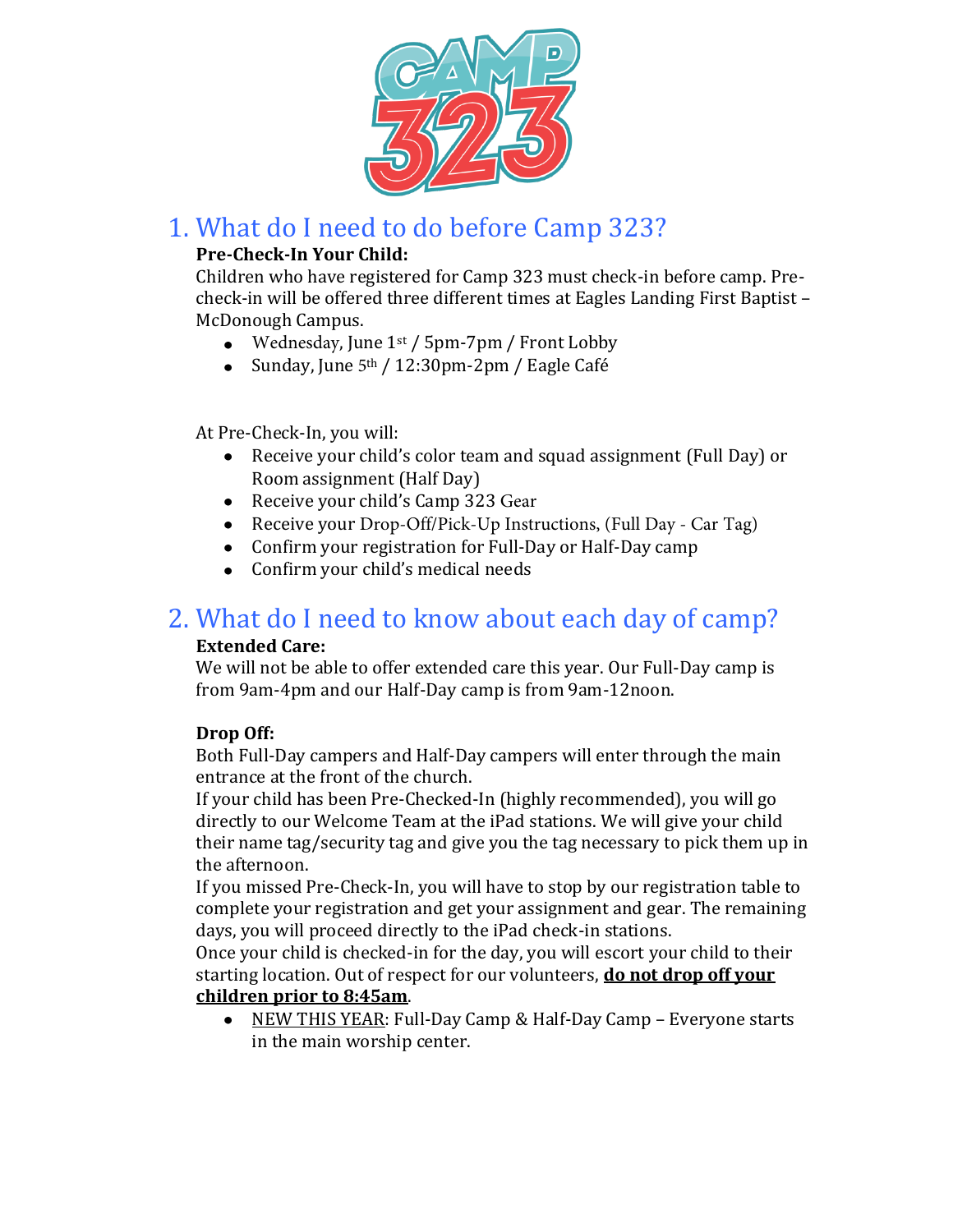

## 1. What do I need to do before Camp 323?

#### **Pre-Check-In Your Child:**

Children who have registered for Camp 323 must check-in before camp. Precheck-in will be offered three different times at Eagles Landing First Baptist – McDonough Campus.

- Wednesday, June  $1<sup>st</sup>$  / 5pm-7pm / Front Lobby
- Sunday, June 5<sup>th</sup> / 12:30pm-2pm / Eagle Café

At Pre-Check-In, you will:

- Receive your child's color team and squad assignment (Full Day) or Room assignment (Half Day)
- Receive your child's Camp 323 Gear
- Receive your Drop-Off/Pick-Up Instructions, (Full Day Car Tag)
- Confirm your registration for Full-Day or Half-Day camp
- Confirm your child's medical needs

### 2. What do I need to know about each day of camp?

#### **Extended Care:**

We will not be able to offer extended care this year. Our Full-Day camp is from 9am-4pm and our Half-Day camp is from 9am-12noon.

#### **Drop Off:**

Both Full-Day campers and Half-Day campers will enter through the main entrance at the front of the church.

If your child has been Pre-Checked-In (highly recommended), you will go directly to our Welcome Team at the iPad stations. We will give your child their name tag/security tag and give you the tag necessary to pick them up in the afternoon.

If you missed Pre-Check-In, you will have to stop by our registration table to complete your registration and get your assignment and gear. The remaining days, you will proceed directly to the iPad check-in stations.

Once your child is checked-in for the day, you will escort your child to their starting location. Out of respect for our volunteers, **do not drop off your children prior to 8:45am**.

NEW THIS YEAR: Full-Day Camp & Half-Day Camp – Everyone starts in the main worship center.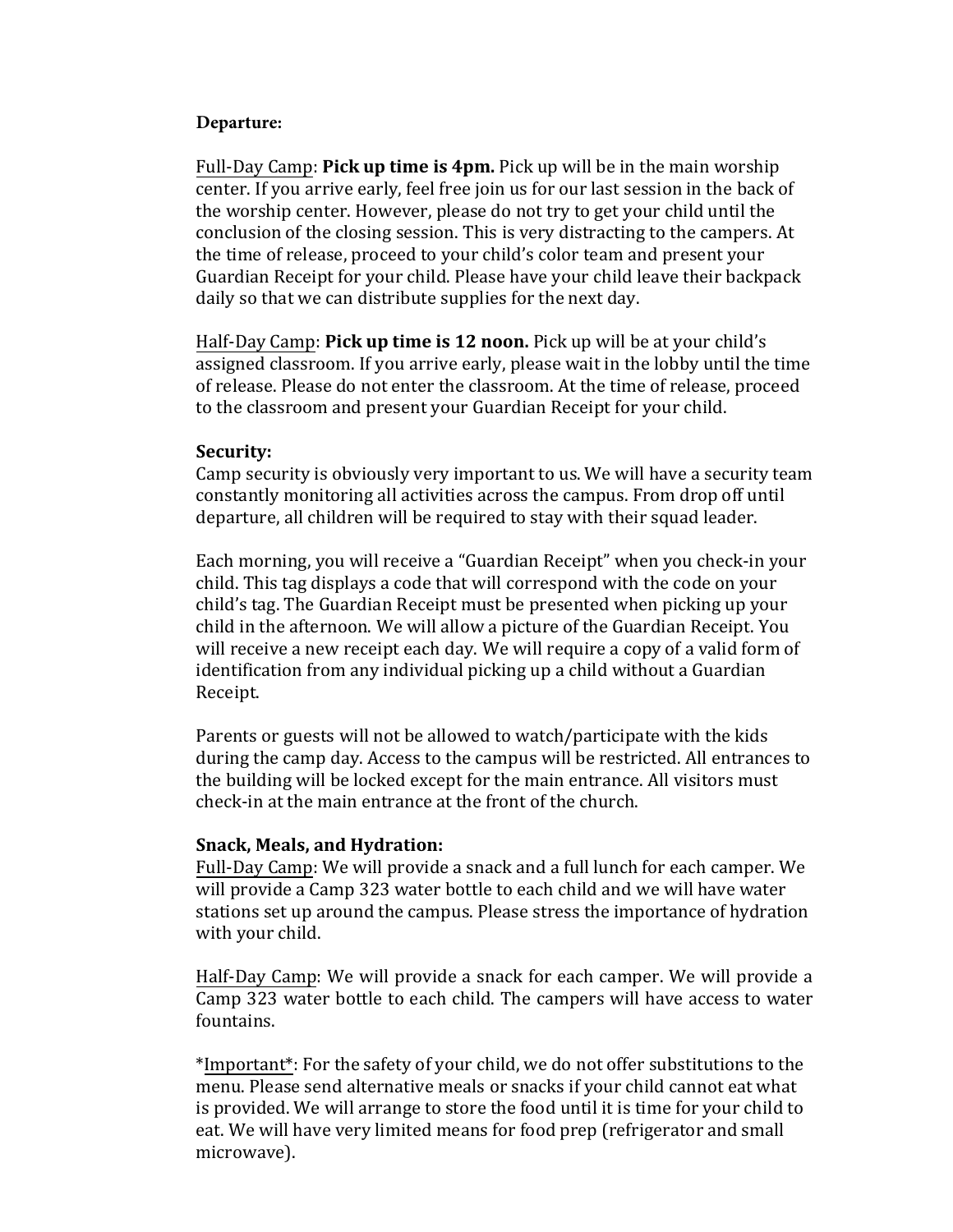#### **Departure:**

Full-Day Camp: **Pick up time is 4pm.** Pick up will be in the main worship center. If you arrive early, feel free join us for our last session in the back of the worship center. However, please do not try to get your child until the conclusion of the closing session. This is very distracting to the campers. At the time of release, proceed to your child's color team and present your Guardian Receipt for your child. Please have your child leave their backpack daily so that we can distribute supplies for the next day.

Half-Day Camp: **Pick up time is 12 noon.** Pick up will be at your child's assigned classroom. If you arrive early, please wait in the lobby until the time of release. Please do not enter the classroom. At the time of release, proceed to the classroom and present your Guardian Receipt for your child.

#### **Security:**

Camp security is obviously very important to us. We will have a security team constantly monitoring all activities across the campus. From drop off until departure, all children will be required to stay with their squad leader.

Each morning, you will receive a "Guardian Receipt" when you check-in your child. This tag displays a code that will correspond with the code on your child's tag. The Guardian Receipt must be presented when picking up your child in the afternoon. We will allow a picture of the Guardian Receipt. You will receive a new receipt each day. We will require a copy of a valid form of identification from any individual picking up a child without a Guardian Receipt.

Parents or guests will not be allowed to watch/participate with the kids during the camp day. Access to the campus will be restricted. All entrances to the building will be locked except for the main entrance. All visitors must check-in at the main entrance at the front of the church.

#### **Snack, Meals, and Hydration:**

Full-Day Camp: We will provide a snack and a full lunch for each camper. We will provide a Camp 323 water bottle to each child and we will have water stations set up around the campus. Please stress the importance of hydration with your child.

Half-Day Camp: We will provide a snack for each camper. We will provide a Camp 323 water bottle to each child. The campers will have access to water fountains.

\*Important\*: For the safety of your child, we do not offer substitutions to the menu. Please send alternative meals or snacks if your child cannot eat what is provided. We will arrange to store the food until it is time for your child to eat. We will have very limited means for food prep (refrigerator and small microwave).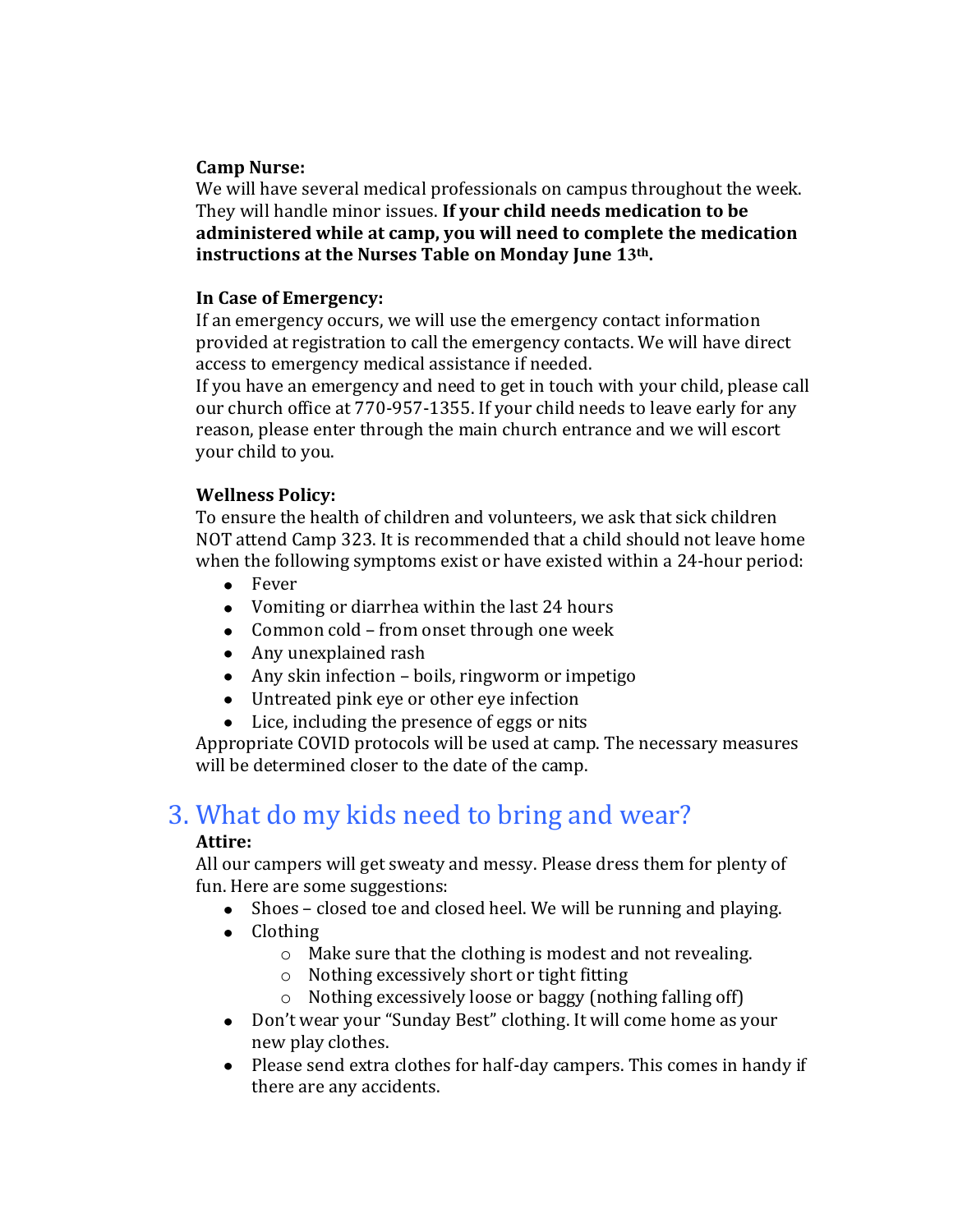#### **Camp Nurse:**

We will have several medical professionals on campus throughout the week. They will handle minor issues. **If your child needs medication to be administered while at camp, you will need to complete the medication instructions at the Nurses Table on Monday June 13th.** 

#### **In Case of Emergency:**

If an emergency occurs, we will use the emergency contact information provided at registration to call the emergency contacts. We will have direct access to emergency medical assistance if needed.

If you have an emergency and need to get in touch with your child, please call our church office at 770-957-1355. If your child needs to leave early for any reason, please enter through the main church entrance and we will escort your child to you.

#### **Wellness Policy:**

To ensure the health of children and volunteers, we ask that sick children NOT attend Camp 323. It is recommended that a child should not leave home when the following symptoms exist or have existed within a 24-hour period:

- Fever
- Vomiting or diarrhea within the last 24 hours
- Common cold from onset through one week
- Any unexplained rash
- Any skin infection boils, ringworm or impetigo
- Untreated pink eye or other eye infection
- Lice, including the presence of eggs or nits

Appropriate COVID protocols will be used at camp. The necessary measures will be determined closer to the date of the camp.

# 3. What do my kids need to bring and wear?

#### **Attire:**

All our campers will get sweaty and messy. Please dress them for plenty of fun. Here are some suggestions:

- Shoes closed toe and closed heel. We will be running and playing.
- Clothing
	- o Make sure that the clothing is modest and not revealing.
	- o Nothing excessively short or tight fitting
	- o Nothing excessively loose or baggy (nothing falling off)
- Don't wear your "Sunday Best" clothing. It will come home as your new play clothes.
- Please send extra clothes for half-day campers. This comes in handy if there are any accidents.